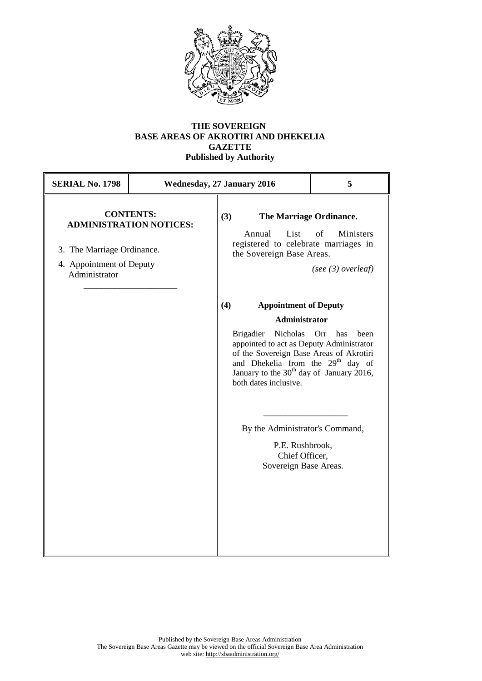

## **THE SOVEREIGN BASE AREAS OF AKROTIRI AND DHEKELIA GAZETTE Published by Authority**

| <b>SERIAL No. 1798</b>                                                  |                                                    | 5                                                                                                                                                                                                                                                                                                                                                                                                                                                                                |                                                                                          |
|-------------------------------------------------------------------------|----------------------------------------------------|----------------------------------------------------------------------------------------------------------------------------------------------------------------------------------------------------------------------------------------------------------------------------------------------------------------------------------------------------------------------------------------------------------------------------------------------------------------------------------|------------------------------------------------------------------------------------------|
| 3. The Marriage Ordinance.<br>4. Appointment of Deputy<br>Administrator | <b>CONTENTS:</b><br><b>ADMINISTRATION NOTICES:</b> | <b>Wednesday, 27 January 2016</b><br>(3)<br>Annual<br>List<br>registered to celebrate marriages in<br>the Sovereign Base Areas.<br>(4)<br><b>Appointment of Deputy</b><br><b>Administrator</b><br><b>Brigadier</b><br>Nicholas<br>appointed to act as Deputy Administrator<br>of the Sovereign Base Areas of Akrotiri<br>and Dhekelia from the 29 <sup>th</sup> day of<br>January to the $30th$ day of January 2016,<br>both dates inclusive.<br>By the Administrator's Command, | The Marriage Ordinance.<br>of<br>Ministers<br>(see $(3)$ overleaf)<br>Orr<br>has<br>been |
|                                                                         |                                                    | P.E. Rushbrook,<br>Chief Officer,<br>Sovereign Base Areas.                                                                                                                                                                                                                                                                                                                                                                                                                       |                                                                                          |